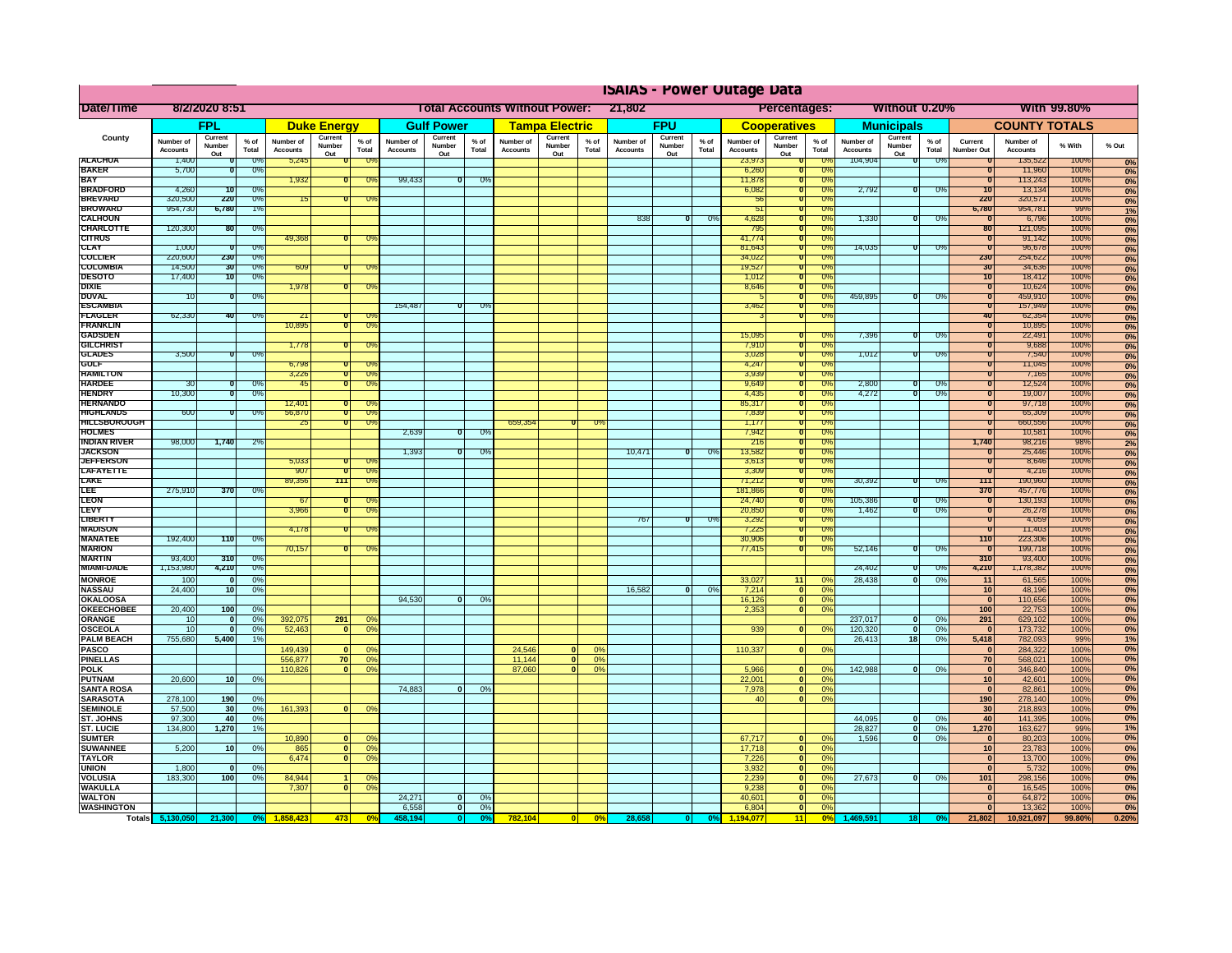|                                      |                              |                          |                      |                              |                              |                               |                                                |                          |               | <b>ISAIAS - Power Outage Data</b> |                          |               |                                                            |                          |                 |                              |                          |                         |                              |                          |                |                                           |                              |              |                   |
|--------------------------------------|------------------------------|--------------------------|----------------------|------------------------------|------------------------------|-------------------------------|------------------------------------------------|--------------------------|---------------|-----------------------------------|--------------------------|---------------|------------------------------------------------------------|--------------------------|-----------------|------------------------------|--------------------------|-------------------------|------------------------------|--------------------------|----------------|-------------------------------------------|------------------------------|--------------|-------------------|
| Date/Time                            | 8/2/2020 8:51                |                          |                      |                              |                              |                               | 21,802<br><b>Total Accounts Without Power:</b> |                          |               |                                   |                          |               | <b>Percentages:</b><br>Without 0.20%<br><b>With 99.80%</b> |                          |                 |                              |                          |                         |                              |                          |                |                                           |                              |              |                   |
|                                      |                              | <b>FPL</b>               |                      |                              | <b>Duke Energy</b>           |                               |                                                | <b>Gulf Power</b>        |               |                                   | <b>Tampa Electric</b>    |               |                                                            | <b>FPU</b>               |                 |                              | <b>Cooperatives</b>      |                         |                              | <b>Municipals</b>        |                |                                           | <b>COUNTY TOTALS</b>         |              |                   |
| County                               | Number of<br><b>Accounts</b> | Current<br>Number<br>Out | % of<br>Total        | Number of<br><b>Accounts</b> | Current<br>Number<br>Out     | $%$ of<br>Total               | Number of<br><b>Accounts</b>                   | Current<br>Number<br>Out | % of<br>Total | Number of<br><b>Accounts</b>      | Current<br>Number<br>Out | % of<br>Total | Number of<br><b>Accounts</b>                               | Current<br>Number<br>Out | $%$ of<br>Total | Number of<br><b>Accounts</b> | Current<br>Number<br>Out | % of<br>Total           | Number of<br><b>Accounts</b> | Current<br>Number<br>Out | % of<br>Total  | Current<br>Number Ou                      | Number of<br><b>Accounts</b> | % With       | % Out             |
| <b>ALACHUA</b><br><b>BAKER</b>       | 1,400<br>5,700               |                          | -0°<br>$0^{\circ}$   | 5,245                        |                              |                               |                                                |                          |               |                                   |                          |               |                                                            |                          |                 | 23,97<br>6,26                |                          | -Os<br><b>TO</b>        | 104,904                      | 70                       | -0%            |                                           | 135,522<br>11,960            | 100%<br>100% | 0%                |
| <b>RAY</b>                           |                              |                          |                      | 1,932                        |                              |                               | 99,433                                         | 0                        | 0%            |                                   |                          |               |                                                            |                          |                 | 11,878                       |                          | 0%                      |                              |                          |                |                                           | 113,243                      | 100%         | 0%<br>0%          |
| <b>BRADFORD</b>                      | 4,260                        | 70                       | ారా                  |                              |                              |                               |                                                |                          |               |                                   |                          |               |                                                            |                          |                 | 6,082<br>$\overline{5}$      |                          | $\overline{\mathrm{U}}$ | 2,792                        | ᠊ᢐ                       | तार            | $\overline{10}$<br>220                    | 13,134                       | 100%         | 0%                |
| <b>BREVARD</b><br><b>BROWARD</b>     | 320,500<br>954,730           | 220<br>6,780             | O <sub>c</sub><br>1% |                              |                              |                               |                                                |                          |               |                                   |                          |               |                                                            |                          |                 | $\overline{5}$               |                          | 0%<br>0%                |                              |                          |                | 6,780                                     | 320,571<br>954,781           | 100%<br>99%  | 0%<br>1%          |
| <b>CALHOUN</b>                       |                              |                          |                      |                              |                              |                               |                                                |                          |               |                                   |                          |               | 838                                                        | $\overline{\mathbf{u}}$  | $0\%$           | 4,62                         |                          | $0\%$                   | 1,330                        | $\overline{\mathbf{u}}$  | $U$ %          |                                           | 6,796                        | 100%         | 0%                |
| <b>CHARLOTTE</b>                     | 120,300                      | 80                       | 0 <sup>o</sup>       |                              |                              |                               |                                                |                          |               |                                   |                          |               |                                                            |                          |                 | 795                          |                          | 0%                      |                              |                          |                | 80<br>'n                                  | 121,095                      | 100%         | 0%                |
| <b>CITRUS</b><br><b>CLAY</b>         | 1,000                        |                          | $0$ %                | 49,368                       |                              |                               |                                                |                          |               |                                   |                          |               |                                                            |                          |                 | 41,774<br>81,643             |                          | 0%<br>$U$ %             | 14.035                       | $\overline{\mathbf{u}}$  | $\overline{U}$ | $\overline{\mathbf{u}}$                   | 91,142<br>96,678             | 100%<br>100% | 0%<br>0%          |
| <b>COLLIER</b>                       | 220,600                      | 230                      | 0 <sup>o</sup>       |                              |                              |                               |                                                |                          |               |                                   |                          |               |                                                            |                          |                 | 34,022                       | τ                        | 0%                      |                              |                          |                | 230                                       | 254,622                      | 100%         | 0%                |
| <b>COLUMBIA</b>                      | 14,500                       | 30                       | 0 <sup>o</sup>       | 609                          |                              |                               |                                                |                          |               |                                   |                          |               |                                                            |                          |                 | 19,527                       | τ                        | 0%                      |                              |                          |                | 30                                        | 34,636                       | 100%         | 0%                |
| <b>DESOTO</b><br><b>DIXIE</b>        | 17,400                       | 10                       | -0%                  | 1,978                        |                              |                               |                                                |                          |               |                                   |                          |               |                                                            |                          |                 | 1,012<br>8,646               | 70<br>π                  | 0%<br>0%                |                              |                          |                | -10<br>70                                 | 18,412<br>10,624             | 100%<br>100% | 0%<br>0%          |
| <b>DUVAL</b>                         | $10^{-}$                     |                          | $\overline{0}$       |                              |                              |                               |                                                |                          |               |                                   |                          |               |                                                            |                          |                 |                              |                          | $\overline{0}$          | 459,895                      |                          | -09            | $\overline{0}$                            | 459,910                      | 100%         | 0%                |
| <b>ESCAMBI</b>                       |                              |                          |                      |                              |                              |                               | 154,487                                        | ण                        | ా౧ి           |                                   |                          |               |                                                            |                          |                 | 3,462                        |                          | 0%                      |                              |                          |                | ᠊ᠣ                                        | 157,949                      | 100%         | 0%                |
| <b>FLAGLER</b><br>FRANKLIN           | 62,330                       | $-40$                    | $\alpha$             | 21<br>10,895                 |                              | ה-<br>$\overline{\mathbf{u}}$ |                                                |                          |               |                                   |                          |               |                                                            |                          |                 |                              |                          | 0%                      |                              |                          |                | 40<br>π                                   | 62,354<br>10,895             | 100%<br>100% | 0%<br>0%          |
| <b>GADSDEN</b>                       |                              |                          |                      |                              |                              |                               |                                                |                          |               |                                   |                          |               |                                                            |                          |                 | 15,095                       |                          | -0%                     | 7,396                        | o                        | -0%            | 0                                         | 22,491                       | 100%         | 0%                |
| <b>GILCHRIS</b>                      |                              |                          |                      | 1,778                        |                              |                               |                                                |                          |               |                                   |                          |               |                                                            |                          |                 | 7,910                        |                          | 0%                      |                              |                          |                | 0                                         | 9,688                        | 100%         | 0%                |
| <b>GLADES</b><br><b>GULF</b>         | 3,500                        |                          | $\overline{U}$       | 6.798                        |                              |                               |                                                |                          |               |                                   |                          |               |                                                            |                          |                 | 3,02<br>4.247                |                          | $0\%$<br>0%             | 1,012                        |                          | U <sup>y</sup> |                                           | 7,540<br>11,045              | 100%<br>100% | 0%                |
| <b>HAMILTON</b>                      |                              |                          |                      | 3,226                        |                              | ה-                            |                                                |                          |               |                                   |                          |               |                                                            |                          |                 | 3.939                        |                          | 0%                      |                              |                          |                |                                           | 7,165                        | 100%         | 0%<br>0%          |
| <b>HARDEE</b>                        | 30                           |                          | -0%                  | 45                           |                              | -09                           |                                                |                          |               |                                   |                          |               |                                                            |                          |                 | 9,649                        |                          | 0%                      | 2,800                        | O                        | O <sub>o</sub> | 0                                         | 12,524                       | 100%         | 0%                |
| <b>HENDRY</b><br><b>HERNANDO</b>     | 10,300                       |                          | 0%                   | 12,401                       |                              |                               |                                                |                          |               |                                   |                          |               |                                                            |                          |                 | 4,435<br>85,31               |                          | 0%<br>0%                | 4,272                        |                          | -0%            | 0                                         | 19,007<br>97,718             | 100%<br>100% | 0%                |
| <b>HIGHLANDS</b>                     | 600                          |                          | 0 <sup>o</sup>       | 56,870                       |                              | -09                           |                                                |                          |               |                                   |                          |               |                                                            |                          |                 | 7,839                        |                          | 0%                      |                              |                          |                |                                           | 65,309                       | 100%         | 0%<br>0%          |
| <b>HILLSBOROUGH</b>                  |                              |                          |                      | 25                           |                              | -Oʻ                           |                                                |                          |               | 659,354                           |                          |               |                                                            |                          |                 | 1,17                         |                          | 0%                      |                              |                          |                |                                           | 660,556                      | 100%         | 0%                |
| <b>HOLMES</b><br><b>INDIAN RIVER</b> | 98,000                       | 1,740                    |                      |                              |                              |                               | 2,639                                          | ण                        | ారా           |                                   |                          |               |                                                            |                          |                 | 7,942<br>216                 |                          | 0%<br>0%                |                              |                          |                | 1,740                                     | 10,581                       | 100%         | 0%                |
| <b>JACKSON</b>                       |                              |                          | 2%                   |                              |                              |                               | 1,393                                          | ण                        | -0%           |                                   |                          |               | 10,471                                                     | ം                        | -0%             | 13,582                       |                          | 0%                      |                              |                          |                |                                           | 98,216<br>25,446             | 98%<br>100%  | 2%<br>0%          |
| <b>JEFFERSON</b>                     |                              |                          |                      | 5,033                        |                              |                               |                                                |                          |               |                                   |                          |               |                                                            |                          |                 | 3,61                         |                          | $U\%$                   |                              |                          |                | π                                         | 8,646                        | 100%         | 0%                |
| <b>LAFAYETTE</b>                     |                              |                          |                      | 907                          |                              | n.                            |                                                |                          |               |                                   |                          |               |                                                            |                          |                 | 3,309                        |                          | 0%                      |                              |                          |                | п                                         | 4,216                        | 100%         | 0%                |
| <b>LAKE</b><br>LEE                   | 275,910                      | 370                      | $U$ %                | 89,356                       | 111                          | ᠊᠗                            |                                                |                          |               |                                   |                          |               |                                                            |                          |                 | 71,21<br>181.86              |                          | 0%<br>$U$ %             | 30,392                       | ᠊ᠣ                       | 0%             | 111<br>370                                | 190,960<br>451, 176          | 100%<br>100% | 0%                |
| <b>LEON</b>                          |                              |                          |                      | -67                          |                              |                               |                                                |                          |               |                                   |                          |               |                                                            |                          |                 | 24,740                       |                          | 0%                      | 105.386                      | n                        | - 03           | ℸ                                         | 130,193                      | 100%         | $\frac{0\%}{0\%}$ |
| <b>LEVY</b>                          |                              |                          |                      | 3.966                        |                              |                               |                                                |                          |               |                                   |                          |               |                                                            |                          |                 | 20,850                       |                          | 0%                      | 1.462                        | Ō                        | -0%            | τ                                         | 26,278                       | 100%         | 0%                |
| LIBERTY<br><b>MADISON</b>            |                              |                          |                      | 4,178                        |                              |                               |                                                |                          |               |                                   |                          |               | 767                                                        | ℧                        | -0%             | 3,292<br>7,225               | τ<br>$\overline{0}$      | 0%<br>0%                |                              |                          |                | $\overline{\mathbf{0}}$<br>$\overline{0}$ | 4,059<br>11,403              | 100%<br>100% | 0%                |
| <b>MANATEE</b>                       | 192,400                      | 110                      | $\overline{0}$       |                              |                              |                               |                                                |                          |               |                                   |                          |               |                                                            |                          |                 | 30,906                       | 70                       | 0%                      |                              |                          |                | 110                                       | 223,306                      | 100%         | 0%<br>0%          |
| <b>MARION</b>                        |                              |                          |                      | 70,157                       |                              |                               |                                                |                          |               |                                   |                          |               |                                                            |                          |                 | 77,415                       | τ                        | 0%                      | 52,146                       | $\overline{0}$           | -0°            | ℸ                                         | 199,718                      | 100%         | 0%                |
| <b>MARTIN</b><br><b>MIAMI-DADE</b>   | 93,400<br>1,153,980          | 310<br>4,210             | 0 <sup>o</sup><br>ত  |                              |                              |                               |                                                |                          |               |                                   |                          |               |                                                            |                          |                 |                              |                          |                         | 24,402                       | τ                        | U%             | 310<br>4,210                              | 93,400<br>1,178,382          | 100%<br>100% | 0%                |
| <b>MONROE</b>                        | 100                          | $\overline{0}$           | 0 <sup>9</sup>       |                              |                              |                               |                                                |                          |               |                                   |                          |               |                                                            |                          |                 | 33,027                       | 11                       | 0%                      | 28,438                       | $\overline{0}$           | 0%             | 11                                        | 61,565                       | 100%         | 0%<br>0%          |
| <b>NASSAU</b>                        | 24,400                       | 10                       | 0 <sup>9</sup>       |                              |                              |                               |                                                |                          |               |                                   |                          |               | 16,582                                                     | 0                        | 0%              | 7,214                        | 0                        | 0%                      |                              |                          |                | 10                                        | 48,196                       | 100%         | 0%                |
| <b>OKALOOSA</b>                      |                              |                          |                      |                              |                              |                               | 94.530                                         | 0                        | 0%            |                                   |                          |               |                                                            |                          |                 | 16,126                       | 0                        | 0%                      |                              |                          |                | $\mathbf{0}$                              | 110,656                      | 100%         | 0%                |
| <b>OKEECHOBEE</b><br>ORANGE          | 20,400<br>10                 | 100<br>ol                | 0 <sup>9</sup><br>0% | 392,075                      | 291                          | 0 <sup>9</sup>                |                                                |                          |               |                                   |                          |               |                                                            |                          |                 | 2,353                        | 0                        | 0%                      | 237,017                      | 0                        | 0%             | 100<br>291                                | 22,753<br>629,102            | 100%<br>100% | 0%<br>0%          |
| OSCEOLA                              | 10                           | 0                        | 0%                   | 52,463                       | $\mathbf{0}$                 | 0 <sup>9</sup>                |                                                |                          |               |                                   |                          |               |                                                            |                          |                 | 939                          | 0                        | 0%                      | 120,320                      | $\mathbf{0}$             | 0%             | $\mathbf{0}$                              | 173,732                      | 100%         | 0%                |
| <b>PALM BEACH</b>                    | 755,680                      | 5,400                    | 1%                   |                              |                              |                               |                                                |                          |               |                                   |                          |               |                                                            |                          |                 |                              |                          |                         | 26,413                       | 18                       | 0%             | 5,418                                     | 782,093                      | 99%          | 1%                |
| <b>PASCO</b>                         |                              |                          |                      | 149,439<br>556,877           | $\mathbf{0}$<br>70           | 0%                            |                                                |                          |               | 24,546<br>11,144                  | 0 <br> 0                 | 0%<br>0%      |                                                            |                          |                 | 110,337                      | 0                        | 0%                      |                              |                          |                | $\mathbf{0}$                              | 284,322                      | 100%         | 0%<br>0%          |
| <b>PINELLAS</b><br><b>POLK</b>       |                              |                          |                      | 110,826                      | 0                            | 0%<br>0%                      |                                                |                          |               | 87,060                            | $\overline{0}$           | 0%            |                                                            |                          |                 | 5.966                        | 0                        | 0%                      | 142.988                      | 0                        | 0%             | 70<br>$\mathbf{0}$                        | 568,021<br>346,840           | 100%<br>100% | 0%                |
| <b>PUTNAM</b>                        | 20,600                       | 10 <sup>1</sup>          | 0%                   |                              |                              |                               |                                                |                          |               |                                   |                          |               |                                                            |                          |                 | 22.001                       | $\overline{\mathbf{0}}$  | 0%                      |                              |                          |                | 10                                        | 42,601                       | 100%         | 0%                |
| <b>SANTA ROSA</b>                    |                              |                          |                      |                              |                              |                               | 74,883                                         | 0                        | 0%            |                                   |                          |               |                                                            |                          |                 | 7,978                        | 0                        | 0%                      |                              |                          |                | $\bullet$                                 | 82,861                       | 100%         | 0%                |
| <b>SARASOTA</b><br><b>SEMINOLE</b>   | 278,100<br>57,500            | 190<br>30 <sup>1</sup>   | 0%<br>0%             | 161,393                      | 0                            | 0 <sup>9</sup>                |                                                |                          |               |                                   |                          |               |                                                            |                          |                 | 40                           | 0                        | 0%                      |                              |                          |                | 190<br>30                                 | 278,140<br>218,893           | 100%<br>100% | 0%<br>0%          |
| ST. JOHNS                            | 97,300                       | 40                       | 0 <sup>9</sup>       |                              |                              |                               |                                                |                          |               |                                   |                          |               |                                                            |                          |                 |                              |                          |                         | 44,095                       | $\mathbf{0}$             | 0%             | 40                                        | 141,395                      | 100%         | 0%                |
| <b>ST. LUCIE</b>                     | 134,800                      | 1,270                    | 1%                   |                              |                              |                               |                                                |                          |               |                                   |                          |               |                                                            |                          |                 |                              |                          |                         | 28,827                       | 0                        | 0%             | 1,270                                     | 163,627                      | 99%          | 1%                |
| <b>SUMTER</b>                        |                              |                          |                      | 10,890                       | $\bf{0}$                     | 0 <sup>o</sup>                |                                                |                          |               |                                   |                          |               |                                                            |                          |                 | 67,717                       | 0                        | 0%                      | 1,596                        | $\Omega$                 | 0%             | $\mathbf{0}$                              | 80,203                       | 100%         | 0%                |
| <b>SUWANNEE</b><br><b>TAYLOR</b>     | 5,200                        | 10 <sup>1</sup>          | 0%                   | 865<br>6,474                 | $\mathbf{0}$<br>$\mathbf{0}$ | 0%<br>0%                      |                                                |                          |               |                                   |                          |               |                                                            |                          |                 | 17,718<br>7,226              | 0 <br> 0                 | 0%<br>0%                |                              |                          |                | 10<br>$\mathbf{0}$                        | 23,783<br>13,700             | 100%<br>100% | 0%<br>0%          |
| <b>UNION</b>                         | 1,800                        | $\mathbf{0}$             | 0 <sup>9</sup>       |                              |                              |                               |                                                |                          |               |                                   |                          |               |                                                            |                          |                 | 3,932                        | 0                        | 0%                      |                              |                          |                | $\mathbf{0}$                              | 5,732                        | 100%         | 0%                |
| <b>VOLUSIA</b>                       | 183,300                      | 100                      | 0%                   | 84,944                       |                              | 0 <sup>9</sup>                |                                                |                          |               |                                   |                          |               |                                                            |                          |                 | 2,239                        | 0                        | 0%                      | 27,673                       | 0                        | 0%             | 101                                       | 298,156                      | 100%         | 0%                |
| <b>WAKULLA</b><br><b>WALTON</b>      |                              |                          |                      | 7.307                        | $\overline{0}$               | 0%                            | 24,271                                         | 0                        | 0%            |                                   |                          |               |                                                            |                          |                 | 9,236<br>40,601              | 0 <br> 0                 | 0%<br>0%                |                              |                          |                | $\mathbf{0}$<br>$\mathbf{0}$              | 16,545<br>64,872             | 100%<br>100% | 0%<br>0%          |
| <b>WASHINGTON</b>                    |                              |                          |                      |                              |                              |                               | 6,558                                          | 0                        | 0%            |                                   |                          |               |                                                            |                          |                 | 6,804                        | $\overline{0}$           | 0%                      |                              |                          |                | $\mathbf{0}$                              | 13,362                       | 100%         | 0%                |
|                                      | Totals 5,130,050             | 21,300                   | 0%                   | 1.858,423                    | 473                          | 0 <sup>9</sup>                | 458,194                                        | 0                        | 0%            | 782.104                           | 0                        | 0%            | 28,658                                                     | $\mathbf 0$              | 0%              | 1.194.077                    | 11                       | 0%                      |                              | 18                       | O٢             | 21,802                                    | 10,921,097                   | 99.80%       | 0.20%             |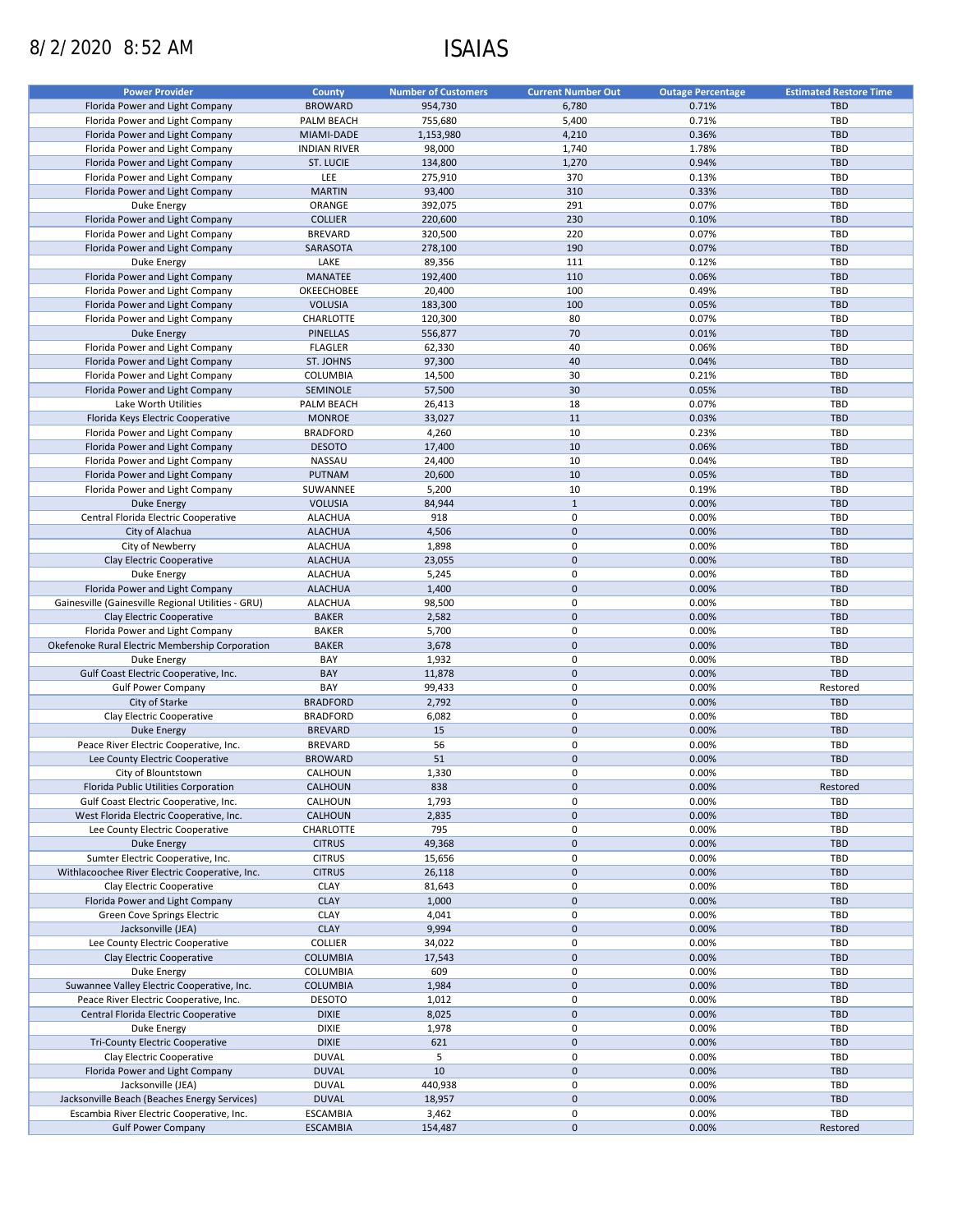# 8/2/2020 8:52 AM ISAIAS

| <b>Power Provider</b>                              | <b>County</b>            | <b>Number of Customers</b> | <b>Current Number Out</b> | <b>Outage Percentage</b> | <b>Estimated Restore Time</b> |
|----------------------------------------------------|--------------------------|----------------------------|---------------------------|--------------------------|-------------------------------|
| Florida Power and Light Company                    | <b>BROWARD</b>           | 954,730                    | 6,780                     | 0.71%                    | <b>TBD</b>                    |
| Florida Power and Light Company                    | PALM BEACH               | 755,680                    | 5,400                     | 0.71%                    | TBD                           |
| Florida Power and Light Company                    | MIAMI-DADE               | 1,153,980                  | 4,210                     | 0.36%                    | <b>TBD</b>                    |
| Florida Power and Light Company                    | <b>INDIAN RIVER</b>      | 98,000                     | 1,740                     | 1.78%                    | TBD                           |
| Florida Power and Light Company                    | ST. LUCIE                | 134,800                    | 1,270                     | 0.94%                    | <b>TBD</b>                    |
| Florida Power and Light Company                    | LEE                      | 275,910                    | 370                       | 0.13%                    | <b>TBD</b>                    |
| Florida Power and Light Company                    | <b>MARTIN</b>            | 93,400                     | 310                       | 0.33%                    | <b>TBD</b>                    |
|                                                    |                          |                            | 291                       | 0.07%                    | <b>TBD</b>                    |
| Duke Energy                                        | ORANGE<br><b>COLLIER</b> | 392,075                    | 230                       | 0.10%                    | <b>TBD</b>                    |
| Florida Power and Light Company                    | <b>BREVARD</b>           | 220,600                    | 220                       | 0.07%                    | <b>TBD</b>                    |
| Florida Power and Light Company                    |                          | 320,500                    |                           |                          |                               |
| Florida Power and Light Company                    | SARASOTA                 | 278,100                    | 190                       | 0.07%                    | <b>TBD</b>                    |
| Duke Energy                                        | LAKE                     | 89,356                     | 111                       | 0.12%                    | <b>TBD</b>                    |
| Florida Power and Light Company                    | MANATEE                  | 192,400                    | 110                       | 0.06%                    | <b>TBD</b>                    |
| Florida Power and Light Company                    | <b>OKEECHOBEE</b>        | 20,400                     | 100                       | 0.49%                    | <b>TBD</b>                    |
| Florida Power and Light Company                    | <b>VOLUSIA</b>           | 183,300                    | 100                       | 0.05%                    | <b>TBD</b>                    |
| Florida Power and Light Company                    | CHARLOTTE                | 120,300                    | 80                        | 0.07%                    | <b>TBD</b>                    |
| <b>Duke Energy</b>                                 | <b>PINELLAS</b>          | 556,877                    | 70                        | 0.01%                    | <b>TBD</b>                    |
| Florida Power and Light Company                    | <b>FLAGLER</b>           | 62,330                     | 40                        | 0.06%                    | <b>TBD</b>                    |
| Florida Power and Light Company                    | ST. JOHNS                | 97,300                     | 40                        | 0.04%                    | <b>TBD</b>                    |
| Florida Power and Light Company                    | COLUMBIA                 | 14,500                     | 30                        | 0.21%                    | <b>TBD</b>                    |
| Florida Power and Light Company                    | SEMINOLE                 | 57,500                     | 30                        | 0.05%                    | <b>TBD</b>                    |
| Lake Worth Utilities                               | PALM BEACH               | 26,413                     | 18                        | 0.07%                    | <b>TBD</b>                    |
| Florida Keys Electric Cooperative                  | <b>MONROE</b>            | 33,027                     | 11                        | 0.03%                    | <b>TBD</b>                    |
| Florida Power and Light Company                    | <b>BRADFORD</b>          | 4,260                      | 10                        | 0.23%                    | <b>TBD</b>                    |
| Florida Power and Light Company                    | <b>DESOTO</b>            | 17,400                     | 10                        | 0.06%                    | <b>TBD</b>                    |
| Florida Power and Light Company                    | NASSAU                   | 24,400                     | 10                        | 0.04%                    | TBD                           |
| Florida Power and Light Company                    | PUTNAM                   | 20,600                     | 10                        | 0.05%                    | <b>TBD</b>                    |
| Florida Power and Light Company                    | SUWANNEE                 | 5,200                      | 10                        | 0.19%                    | <b>TBD</b>                    |
| <b>Duke Energy</b>                                 | <b>VOLUSIA</b>           | 84,944                     | $1\,$                     | 0.00%                    | <b>TBD</b>                    |
| Central Florida Electric Cooperative               | <b>ALACHUA</b>           | 918                        | 0                         | 0.00%                    | <b>TBD</b>                    |
| City of Alachua                                    | <b>ALACHUA</b>           | 4,506                      | $\mathbf 0$               | 0.00%                    | <b>TBD</b>                    |
| City of Newberry                                   | <b>ALACHUA</b>           | 1,898                      | 0                         | 0.00%                    | <b>TBD</b>                    |
| Clay Electric Cooperative                          | <b>ALACHUA</b>           | 23,055                     | $\mathbf 0$               | 0.00%                    | <b>TBD</b>                    |
| Duke Energy                                        | <b>ALACHUA</b>           | 5,245                      | $\pmb{0}$                 | 0.00%                    | TBD                           |
| Florida Power and Light Company                    | <b>ALACHUA</b>           | 1,400                      | $\mathbf 0$               | 0.00%                    | <b>TBD</b>                    |
|                                                    |                          |                            | 0                         | 0.00%                    | <b>TBD</b>                    |
| Gainesville (Gainesville Regional Utilities - GRU) | <b>ALACHUA</b>           | 98,500                     | $\mathbf 0$               | 0.00%                    |                               |
| Clay Electric Cooperative                          | <b>BAKER</b>             | 2,582                      |                           |                          | <b>TBD</b>                    |
| Florida Power and Light Company                    | <b>BAKER</b>             | 5,700                      | $\pmb{0}$                 | 0.00%                    | <b>TBD</b>                    |
| Okefenoke Rural Electric Membership Corporation    | <b>BAKER</b>             | 3,678                      | $\mathbf 0$               | 0.00%                    | <b>TBD</b>                    |
| Duke Energy                                        | BAY                      | 1,932                      | $\pmb{0}$                 | 0.00%                    | <b>TBD</b>                    |
| Gulf Coast Electric Cooperative, Inc.              | BAY                      | 11,878                     | $\mathbf 0$               | 0.00%                    | <b>TBD</b>                    |
| <b>Gulf Power Company</b>                          | BAY                      | 99,433                     | $\pmb{0}$                 | 0.00%                    | Restored                      |
| City of Starke                                     | <b>BRADFORD</b>          | 2,792                      | $\mathbf 0$               | 0.00%                    | <b>TBD</b>                    |
| Clay Electric Cooperative                          | <b>BRADFORD</b>          | 6,082                      | 0                         | 0.00%                    | <b>TBD</b>                    |
| <b>Duke Energy</b>                                 | <b>BREVARD</b>           | 15                         | $\mathbf 0$               | 0.00%                    | <b>TBD</b>                    |
| Peace River Electric Cooperative, Inc.             | <b>BREVARD</b>           | 56                         | 0                         | 0.00%                    | <b>TBD</b>                    |
| Lee County Electric Cooperative                    | <b>BROWARD</b>           | 51                         | $\mathbf 0$               | 0.00%                    | <b>TBD</b>                    |
| City of Blountstown                                | CALHOUN                  | 1,330                      | $\mathbf 0$               | 0.00%                    | TBD                           |
| Florida Public Utilities Corporation               | <b>CALHOUN</b>           | 838                        | $\pmb{0}$                 | 0.00%                    | Restored                      |
| Gulf Coast Electric Cooperative, Inc.              | CALHOUN                  | 1,793                      | 0                         | 0.00%                    | TBD                           |
| West Florida Electric Cooperative, Inc.            | <b>CALHOUN</b>           | 2,835                      | $\mathbf 0$               | 0.00%                    | <b>TBD</b>                    |
| Lee County Electric Cooperative                    | CHARLOTTE                | 795                        | $\pmb{0}$                 | 0.00%                    | <b>TBD</b>                    |
| Duke Energy                                        | <b>CITRUS</b>            | 49,368                     | $\pmb{0}$                 | 0.00%                    | <b>TBD</b>                    |
| Sumter Electric Cooperative, Inc.                  | <b>CITRUS</b>            | 15,656                     | $\pmb{0}$                 | 0.00%                    | <b>TBD</b>                    |
| Withlacoochee River Electric Cooperative, Inc.     | <b>CITRUS</b>            | 26,118                     | $\pmb{0}$                 | 0.00%                    | <b>TBD</b>                    |
| Clay Electric Cooperative                          | <b>CLAY</b>              | 81,643                     | 0                         | 0.00%                    | <b>TBD</b>                    |
| Florida Power and Light Company                    | <b>CLAY</b>              | 1,000                      | $\mathbf 0$               | 0.00%                    | <b>TBD</b>                    |
| Green Cove Springs Electric                        | <b>CLAY</b>              | 4,041                      | 0                         | 0.00%                    | TBD                           |
| Jacksonville (JEA)                                 | <b>CLAY</b>              | 9,994                      | $\mathbf 0$               | 0.00%                    | <b>TBD</b>                    |
| Lee County Electric Cooperative                    | <b>COLLIER</b>           | 34,022                     | $\pmb{0}$                 | 0.00%                    | TBD                           |
| Clay Electric Cooperative                          | <b>COLUMBIA</b>          | 17,543                     | $\mathbf 0$               | 0.00%                    | <b>TBD</b>                    |
|                                                    |                          |                            |                           |                          | <b>TBD</b>                    |
| Duke Energy                                        | COLUMBIA                 | 609                        | $\pmb{0}$<br>$\mathbf 0$  | 0.00%                    |                               |
| Suwannee Valley Electric Cooperative, Inc.         | <b>COLUMBIA</b>          | 1,984                      |                           | 0.00%                    | <b>TBD</b>                    |
| Peace River Electric Cooperative, Inc.             | <b>DESOTO</b>            | 1,012                      | $\pmb{0}$                 | 0.00%                    | <b>TBD</b>                    |
| Central Florida Electric Cooperative               | <b>DIXIE</b>             | 8,025                      | $\mathbf 0$               | 0.00%                    | <b>TBD</b>                    |
| Duke Energy                                        | <b>DIXIE</b>             | 1,978                      | $\pmb{0}$                 | 0.00%                    | <b>TBD</b>                    |
| <b>Tri-County Electric Cooperative</b>             | <b>DIXIE</b>             | 621                        | $\mathbf 0$               | 0.00%                    | TBD                           |
| Clay Electric Cooperative                          | <b>DUVAL</b>             | 5                          | 0                         | 0.00%                    | <b>TBD</b>                    |
| Florida Power and Light Company                    | <b>DUVAL</b>             | 10                         | $\mathbf 0$               | 0.00%                    | <b>TBD</b>                    |
| Jacksonville (JEA)                                 | <b>DUVAL</b>             | 440,938                    | 0                         | 0.00%                    | <b>TBD</b>                    |
| Jacksonville Beach (Beaches Energy Services)       | <b>DUVAL</b>             | 18,957                     | $\pmb{0}$                 | 0.00%                    | TBD                           |
| Escambia River Electric Cooperative, Inc.          | <b>ESCAMBIA</b>          | 3,462                      | 0                         | 0.00%                    | TBD                           |
| <b>Gulf Power Company</b>                          | <b>ESCAMBIA</b>          | 154,487                    | $\pmb{0}$                 | 0.00%                    | Restored                      |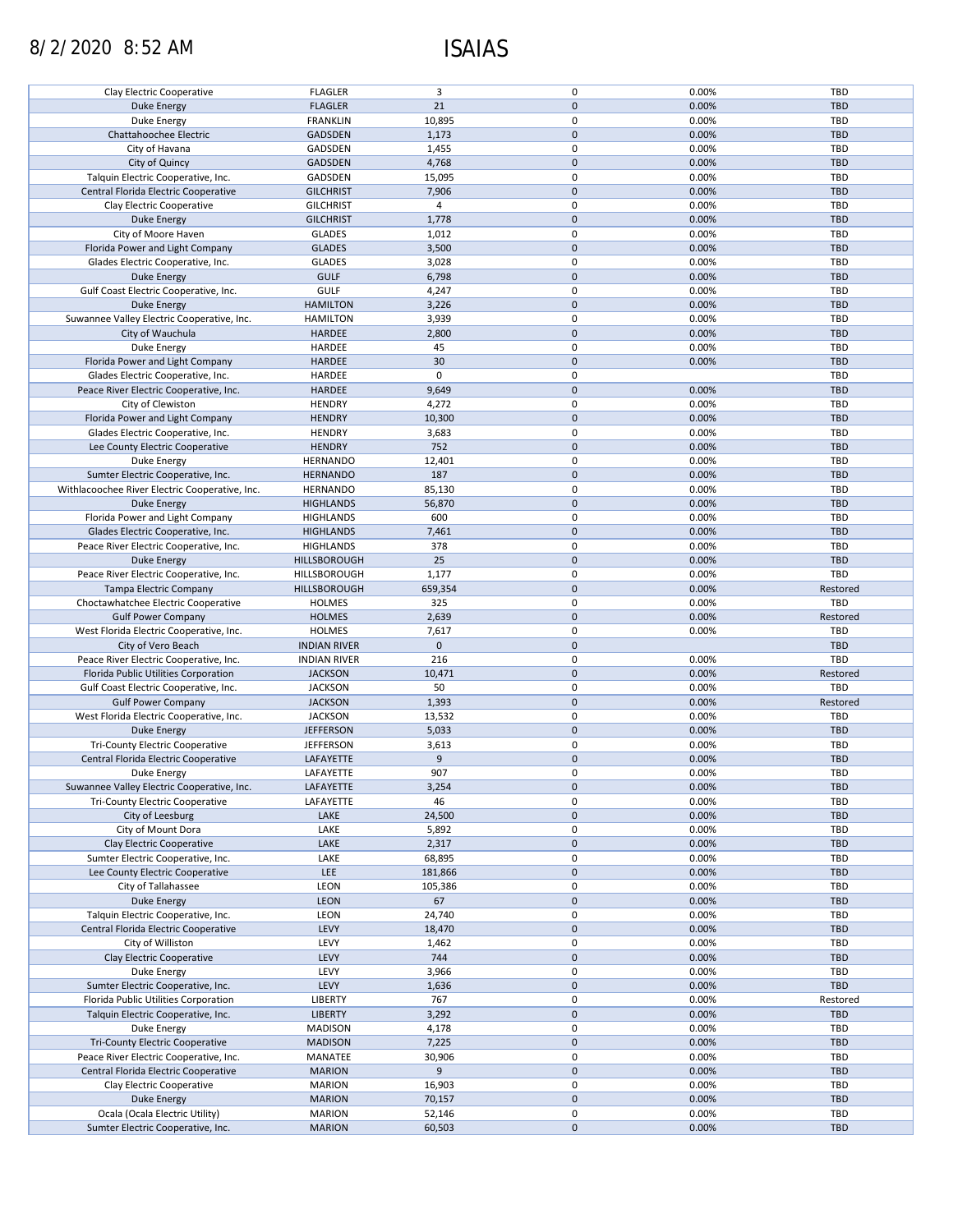# 8/2/2020 8:52 AM ISAIAS

| Clay Electric Cooperative                      | <b>FLAGLER</b>      | 3              | 0            | 0.00% | <b>TBD</b> |
|------------------------------------------------|---------------------|----------------|--------------|-------|------------|
|                                                |                     |                |              |       |            |
| <b>Duke Energy</b>                             | <b>FLAGLER</b>      | 21             | $\mathbf 0$  | 0.00% | <b>TBD</b> |
| Duke Energy                                    | <b>FRANKLIN</b>     | 10,895         | 0            | 0.00% | <b>TBD</b> |
|                                                |                     |                |              |       |            |
| Chattahoochee Electric                         | <b>GADSDEN</b>      | 1,173          | $\mathbf 0$  | 0.00% | <b>TBD</b> |
|                                                |                     |                |              |       |            |
| City of Havana                                 | GADSDEN             | 1,455          | 0            | 0.00% | <b>TBD</b> |
| City of Quincy                                 | <b>GADSDEN</b>      | 4,768          | $\mathbf 0$  | 0.00% | <b>TBD</b> |
|                                                |                     |                |              |       |            |
| Talquin Electric Cooperative, Inc.             | GADSDEN             | 15,095         | 0            | 0.00% | <b>TBD</b> |
| Central Florida Electric Cooperative           | <b>GILCHRIST</b>    | 7,906          | $\mathbf 0$  | 0.00% | <b>TBD</b> |
|                                                |                     |                |              |       |            |
| Clay Electric Cooperative                      | <b>GILCHRIST</b>    | $\overline{4}$ | 0            | 0.00% | TBD        |
|                                                |                     |                |              |       |            |
| <b>Duke Energy</b>                             | <b>GILCHRIST</b>    | 1,778          | $\mathbf 0$  | 0.00% | <b>TBD</b> |
| City of Moore Haven                            | <b>GLADES</b>       | 1,012          | 0            | 0.00% | <b>TBD</b> |
|                                                |                     |                |              |       |            |
| Florida Power and Light Company                | <b>GLADES</b>       | 3,500          | $\mathbf{0}$ | 0.00% | <b>TBD</b> |
| Glades Electric Cooperative, Inc.              | <b>GLADES</b>       | 3,028          | 0            | 0.00% | <b>TBD</b> |
|                                                |                     |                |              |       |            |
| <b>Duke Energy</b>                             | <b>GULF</b>         | 6,798          | $\mathbf{0}$ | 0.00% | <b>TBD</b> |
|                                                |                     |                |              |       |            |
| Gulf Coast Electric Cooperative, Inc.          | <b>GULF</b>         | 4,247          | 0            | 0.00% | <b>TBD</b> |
| <b>Duke Energy</b>                             | <b>HAMILTON</b>     | 3,226          | $\mathbf 0$  | 0.00% | <b>TBD</b> |
|                                                |                     |                |              |       |            |
| Suwannee Valley Electric Cooperative, Inc.     | <b>HAMILTON</b>     | 3,939          | 0            | 0.00% | <b>TBD</b> |
| City of Wauchula                               | <b>HARDEE</b>       | 2,800          | $\mathbf 0$  | 0.00% | <b>TBD</b> |
|                                                |                     |                |              |       |            |
| <b>Duke Energy</b>                             | HARDEE              | 45             | 0            | 0.00% | <b>TBD</b> |
|                                                |                     |                |              |       |            |
| Florida Power and Light Company                | HARDEE              | 30             | $\mathbf 0$  | 0.00% | <b>TBD</b> |
| Glades Electric Cooperative, Inc.              | HARDEE              | $\mathbf 0$    | 0            |       | <b>TBD</b> |
|                                                |                     |                |              |       |            |
| Peace River Electric Cooperative, Inc.         | <b>HARDEE</b>       | 9,649          | $\mathbf 0$  | 0.00% | <b>TBD</b> |
| City of Clewiston                              | <b>HENDRY</b>       | 4,272          | 0            | 0.00% | <b>TBD</b> |
|                                                |                     |                |              |       |            |
| Florida Power and Light Company                | <b>HENDRY</b>       | 10,300         | $\mathbf 0$  | 0.00% | <b>TBD</b> |
|                                                |                     |                |              |       |            |
| Glades Electric Cooperative, Inc.              | <b>HENDRY</b>       | 3,683          | 0            | 0.00% | <b>TBD</b> |
| Lee County Electric Cooperative                | <b>HENDRY</b>       | 752            | $\mathbf 0$  | 0.00% | <b>TBD</b> |
|                                                |                     |                |              |       |            |
| Duke Energy                                    | <b>HERNANDO</b>     | 12,401         | 0            | 0.00% | <b>TBD</b> |
|                                                |                     | 187            | $\mathbf 0$  |       |            |
| Sumter Electric Cooperative, Inc.              | <b>HERNANDO</b>     |                |              | 0.00% | <b>TBD</b> |
| Withlacoochee River Electric Cooperative, Inc. | <b>HERNANDO</b>     | 85,130         | 0            | 0.00% | <b>TBD</b> |
|                                                |                     |                |              |       |            |
| <b>Duke Energy</b>                             | <b>HIGHLANDS</b>    | 56,870         | $\mathbf 0$  | 0.00% | <b>TBD</b> |
| Florida Power and Light Company                | <b>HIGHLANDS</b>    | 600            | 0            | 0.00% | <b>TBD</b> |
|                                                |                     |                |              |       |            |
| Glades Electric Cooperative, Inc.              | <b>HIGHLANDS</b>    | 7,461          | $\mathbf 0$  | 0.00% | <b>TBD</b> |
|                                                |                     |                |              |       |            |
| Peace River Electric Cooperative, Inc.         | HIGHLANDS           | 378            | 0            | 0.00% | <b>TBD</b> |
| <b>Duke Energy</b>                             | HILLSBOROUGH        | 25             | $\mathbf 0$  | 0.00% | <b>TBD</b> |
|                                                |                     |                |              |       |            |
| Peace River Electric Cooperative, Inc.         | HILLSBOROUGH        | 1,177          | 0            | 0.00% | TBD        |
|                                                |                     |                | $\mathbf 0$  | 0.00% |            |
| Tampa Electric Company                         | HILLSBOROUGH        | 659,354        |              |       | Restored   |
| Choctawhatchee Electric Cooperative            | <b>HOLMES</b>       | 325            | 0            | 0.00% | TBD        |
|                                                |                     |                |              |       |            |
|                                                |                     |                |              |       |            |
| <b>Gulf Power Company</b>                      | <b>HOLMES</b>       | 2,639          | $\mathbf 0$  | 0.00% | Restored   |
|                                                |                     |                |              |       |            |
| West Florida Electric Cooperative, Inc.        | <b>HOLMES</b>       | 7,617          | $\pmb{0}$    | 0.00% | TBD        |
| City of Vero Beach                             | <b>INDIAN RIVER</b> | $\mathbf{0}$   | $\mathbf 0$  |       | <b>TBD</b> |
|                                                |                     |                |              |       |            |
| Peace River Electric Cooperative, Inc.         | <b>INDIAN RIVER</b> | 216            | $\pmb{0}$    | 0.00% | TBD        |
|                                                |                     |                | $\mathbf 0$  | 0.00% |            |
| Florida Public Utilities Corporation           | <b>JACKSON</b>      | 10,471         |              |       | Restored   |
| Gulf Coast Electric Cooperative, Inc.          | <b>JACKSON</b>      | 50             | 0            | 0.00% | TBD        |
|                                                |                     |                |              |       |            |
| <b>Gulf Power Company</b>                      | <b>JACKSON</b>      | 1,393          | $\mathbf 0$  | 0.00% | Restored   |
| West Florida Electric Cooperative, Inc.        | <b>JACKSON</b>      | 13,532         | 0            | 0.00% | <b>TBD</b> |
|                                                |                     |                |              |       |            |
| Duke Energy                                    | <b>JEFFERSON</b>    | 5,033          | $\mathbf 0$  | 0.00% | <b>TBD</b> |
| <b>Tri-County Electric Cooperative</b>         | <b>JEFFERSON</b>    | 3,613          | 0            | 0.00% | TBD        |
|                                                |                     |                |              |       |            |
| Central Florida Electric Cooperative           | LAFAYETTE           | 9              | $\mathbf 0$  | 0.00% | <b>TBD</b> |
|                                                |                     |                |              |       |            |
| Duke Energy                                    | LAFAYETTE           | 907            | $\mathbf 0$  | 0.00% | TBD        |
| Suwannee Valley Electric Cooperative, Inc.     | LAFAYETTE           | 3,254          | $\mathbf 0$  | 0.00% | <b>TBD</b> |
|                                                |                     |                |              |       |            |
| Tri-County Electric Cooperative                | LAFAYETTE           | 46             | 0            | 0.00% | <b>TBD</b> |
| City of Leesburg                               | LAKE                | 24,500         | $\mathbf 0$  | 0.00% | TBD        |
|                                                |                     |                |              |       |            |
| City of Mount Dora                             | LAKE                | 5,892          | 0            | 0.00% | <b>TBD</b> |
|                                                |                     |                |              |       |            |
| Clay Electric Cooperative                      | LAKE                | 2,317          | $\mathbf 0$  | 0.00% | <b>TBD</b> |
| Sumter Electric Cooperative, Inc.              | LAKE                | 68,895         | 0            | 0.00% | <b>TBD</b> |
|                                                |                     |                |              |       |            |
| Lee County Electric Cooperative                | LEE                 | 181,866        | $\mathbf 0$  | 0.00% | TBD        |
| City of Tallahassee                            | LEON                |                | 0            | 0.00% | <b>TBD</b> |
|                                                |                     | 105,386        |              |       |            |
| <b>Duke Energy</b>                             | LEON                | 67             | $\mathbf 0$  | 0.00% | <b>TBD</b> |
|                                                |                     |                |              |       |            |
| Talquin Electric Cooperative, Inc.             | LEON                | 24,740         | 0            | 0.00% | TBD        |
| Central Florida Electric Cooperative           | LEVY                | 18,470         | $\mathbf 0$  | 0.00% | <b>TBD</b> |
|                                                |                     |                |              |       |            |
| City of Williston                              | LEVY                | 1,462          | 0            | 0.00% | <b>TBD</b> |
| Clay Electric Cooperative                      | LEVY                | 744            | $\mathbf 0$  | 0.00% | <b>TBD</b> |
|                                                |                     |                |              |       |            |
| Duke Energy                                    | LEVY                | 3,966          | 0            | 0.00% | TBD        |
|                                                |                     |                |              |       |            |
| Sumter Electric Cooperative, Inc.              | LEVY                | 1,636          | $\pmb{0}$    | 0.00% | <b>TBD</b> |
| Florida Public Utilities Corporation           | LIBERTY             | 767            | $\pmb{0}$    | 0.00% | Restored   |
|                                                |                     |                |              |       |            |
| Talquin Electric Cooperative, Inc.             | <b>LIBERTY</b>      | 3,292          | $\mathbf 0$  | 0.00% | <b>TBD</b> |
| Duke Energy                                    | <b>MADISON</b>      | 4,178          | 0            | 0.00% | <b>TBD</b> |
|                                                |                     |                |              |       |            |
| Tri-County Electric Cooperative                | <b>MADISON</b>      | 7,225          | $\mathbf 0$  | 0.00% | <b>TBD</b> |
|                                                |                     |                |              |       |            |
| Peace River Electric Cooperative, Inc.         | MANATEE             | 30,906         | 0            | 0.00% | <b>TBD</b> |
| Central Florida Electric Cooperative           | <b>MARION</b>       | 9              | $\pmb{0}$    | 0.00% | <b>TBD</b> |
|                                                |                     |                |              |       |            |
| Clay Electric Cooperative                      | <b>MARION</b>       | 16,903         | 0            | 0.00% | <b>TBD</b> |
|                                                |                     |                |              |       |            |
| Duke Energy                                    | <b>MARION</b>       | 70,157         | $\mathbf 0$  | 0.00% | <b>TBD</b> |
| Ocala (Ocala Electric Utility)                 | <b>MARION</b>       | 52,146         | 0            | 0.00% | <b>TBD</b> |
| Sumter Electric Cooperative, Inc.              | <b>MARION</b>       | 60,503         | $\mathbf 0$  | 0.00% | <b>TBD</b> |